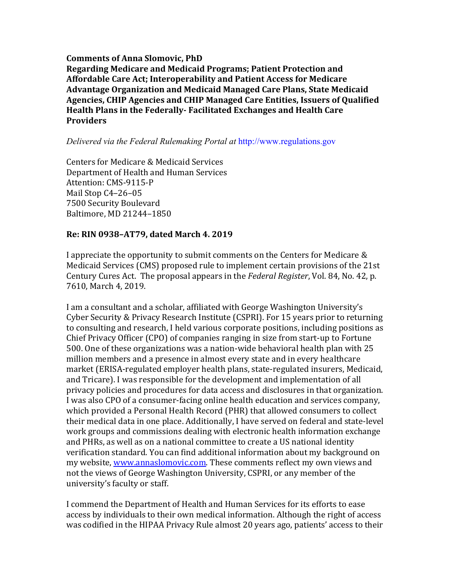**Comments of Anna Slomovic, PhD Regarding Medicare and Medicaid Programs; Patient Protection and Affordable Care Act; Interoperability and Patient Access for Medicare** Advantage Organization and Medicaid Managed Care Plans, State Medicaid Agencies, CHIP Agencies and CHIP Managed Care Entities, Issuers of Qualified Health Plans in the Federally- Facilitated Exchanges and Health Care **Providers** 

#### *Delivered via the Federal Rulemaking Portal at* http://www.regulations.gov

Centers for Medicare & Medicaid Services Department of Health and Human Services Attention: CMS-9115-P Mail Stop C4-26-05 7500 Security Boulevard Baltimore, MD 21244-1850

### **Re: RIN 0938–AT79, dated March 4. 2019**

I appreciate the opportunity to submit comments on the Centers for Medicare & Medicaid Services (CMS) proposed rule to implement certain provisions of the 21st Century Cures Act. The proposal appears in the *Federal Register*, Vol. 84, No. 42, p. 7610. March 4, 2019.

I am a consultant and a scholar, affiliated with George Washington University's Cyber Security & Privacy Research Institute (CSPRI). For 15 years prior to returning to consulting and research, I held various corporate positions, including positions as Chief Privacy Officer (CPO) of companies ranging in size from start-up to Fortune 500. One of these organizations was a nation-wide behavioral health plan with 25 million members and a presence in almost every state and in every healthcare market (ERISA-regulated employer health plans, state-regulated insurers, Medicaid, and Tricare). I was responsible for the development and implementation of all privacy policies and procedures for data access and disclosures in that organization. I was also CPO of a consumer-facing online health education and services company, which provided a Personal Health Record (PHR) that allowed consumers to collect their medical data in one place. Additionally, I have served on federal and state-level work groups and commissions dealing with electronic health information exchange and PHRs, as well as on a national committee to create a US national identity verification standard. You can find additional information about my background on my website, www.annaslomovic.com. These comments reflect my own views and not the views of George Washington University, CSPRI, or any member of the university's faculty or staff.

I commend the Department of Health and Human Services for its efforts to ease access by individuals to their own medical information. Although the right of access was codified in the HIPAA Privacy Rule almost 20 years ago, patients' access to their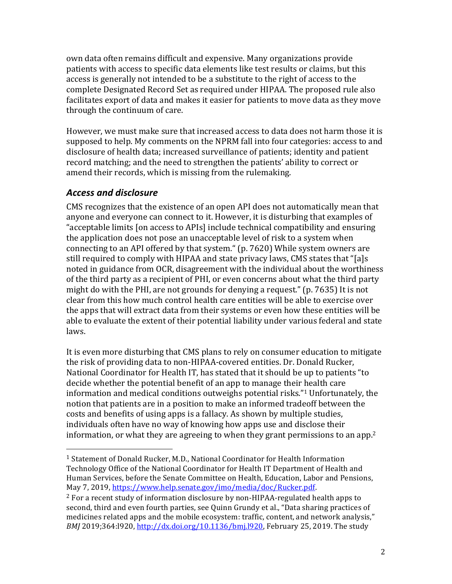own data often remains difficult and expensive. Many organizations provide patients with access to specific data elements like test results or claims, but this access is generally not intended to be a substitute to the right of access to the complete Designated Record Set as required under HIPAA. The proposed rule also facilitates export of data and makes it easier for patients to move data as they move through the continuum of care.

However, we must make sure that increased access to data does not harm those it is supposed to help. My comments on the NPRM fall into four categories: access to and disclosure of health data; increased surveillance of patients; identity and patient record matching; and the need to strengthen the patients' ability to correct or amend their records, which is missing from the rulemaking.

# *Access and disclosure*

 

CMS recognizes that the existence of an open API does not automatically mean that anyone and everyone can connect to it. However, it is disturbing that examples of "acceptable limits [on access to APIs] include technical compatibility and ensuring the application does not pose an unacceptable level of risk to a system when connecting to an API offered by that system." (p. 7620) While system owners are still required to comply with HIPAA and state privacy laws, CMS states that "[a]s noted in guidance from OCR, disagreement with the individual about the worthiness of the third party as a recipient of PHI, or even concerns about what the third party might do with the PHI, are not grounds for denying a request."  $(p. 7635)$  It is not clear from this how much control health care entities will be able to exercise over the apps that will extract data from their systems or even how these entities will be able to evaluate the extent of their potential liability under various federal and state laws.

It is even more disturbing that CMS plans to rely on consumer education to mitigate the risk of providing data to non-HIPAA-covered entities. Dr. Donald Rucker, National Coordinator for Health IT, has stated that it should be up to patients "to decide whether the potential benefit of an app to manage their health care information and medical conditions outweighs potential risks."<sup>1</sup> Unfortunately, the notion that patients are in a position to make an informed tradeoff between the costs and benefits of using apps is a fallacy. As shown by multiple studies, individuals often have no way of knowing how apps use and disclose their information, or what they are agreeing to when they grant permissions to an app.<sup>2</sup>

<sup>&</sup>lt;sup>1</sup> Statement of Donald Rucker, M.D., National Coordinator for Health Information Technology Office of the National Coordinator for Health IT Department of Health and Human Services, before the Senate Committee on Health, Education, Labor and Pensions, May 7, 2019, https://www.help.senate.gov/imo/media/doc/Rucker.pdf.

 $2$  For a recent study of information disclosure by non-HIPAA-regulated health apps to second, third and even fourth parties, see Quinn Grundy et al., "Data sharing practices of medicines related apps and the mobile ecosystem: traffic, content, and network analysis," *BMJ* 2019;364:1920, http://dx.doi.org/10.1136/bmj.1920, February 25, 2019. The study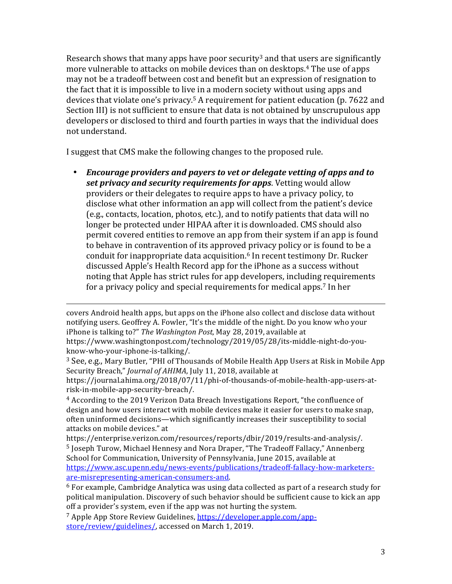Research shows that many apps have poor security<sup>3</sup> and that users are significantly more vulnerable to attacks on mobile devices than on desktops.<sup>4</sup> The use of apps may not be a tradeoff between cost and benefit but an expression of resignation to the fact that it is impossible to live in a modern society without using apps and devices that violate one's privacy.<sup>5</sup> A requirement for patient education (p. 7622 and Section III) is not sufficient to ensure that data is not obtained by unscrupulous app developers or disclosed to third and fourth parties in ways that the individual does not understand.

I suggest that CMS make the following changes to the proposed rule.

• *Encourage providers and payers to vet or delegate vetting of apps and to set privacy and security requirements for apps.* **Vetting would allow** providers or their delegates to require apps to have a privacy policy, to disclose what other information an app will collect from the patient's device (e.g., contacts, location, photos, etc.), and to notify patients that data will no longer be protected under HIPAA after it is downloaded. CMS should also permit covered entities to remove an app from their system if an app is found to behave in contravention of its approved privacy policy or is found to be a conduit for inappropriate data acquisition.<sup>6</sup> In recent testimony Dr. Rucker discussed Apple's Health Record app for the iPhone as a success without noting that Apple has strict rules for app developers, including requirements for a privacy policy and special requirements for medical apps.<sup>7</sup> In her

covers Android health apps, but apps on the iPhone also collect and disclose data without notifying users. Geoffrey A. Fowler, "It's the middle of the night. Do you know who your iPhone is talking to?" The Washington Post, May 28, 2019, available at https://www.washingtonpost.com/technology/2019/05/28/its-middle-night-do-youknow-who-your-iphone-is-talking/.

<u> 1989 - Andrea Santa Andrea Andrea Andrea Andrea Andrea Andrea Andrea Andrea Andrea Andrea Andrea Andrea Andr</u>

<sup>3</sup> See, e.g., Mary Butler, "PHI of Thousands of Mobile Health App Users at Risk in Mobile App Security Breach," *Journal of AHIMA*, July 11, 2018, available at

https://journal.ahima.org/2018/07/11/phi-of-thousands-of-mobile-health-app-users-atrisk-in-mobile-app-security-breach/.

 $4$  According to the 2019 Verizon Data Breach Investigations Report, "the confluence of design and how users interact with mobile devices make it easier for users to make snap, often uninformed decisions—which significantly increases their susceptibility to social attacks on mobile devices." at

https://enterprise.verizon.com/resources/reports/dbir/2019/results-and-analysis/. <sup>5</sup> Joseph Turow, Michael Hennesy and Nora Draper, "The Tradeoff Fallacy," Annenberg School for Communication, University of Pennsylvania, June 2015, available at https://www.asc.upenn.edu/news-events/publications/tradeoff-fallacy-how-marketersare-misrepresenting-american-consumers-and.

 $6$  For example, Cambridge Analytica was using data collected as part of a research study for political manipulation. Discovery of such behavior should be sufficient cause to kick an app off a provider's system, even if the app was not hurting the system.

<sup>7</sup> Apple App Store Review Guidelines, https://developer.apple.com/appstore/review/guidelines/, accessed on March 1, 2019.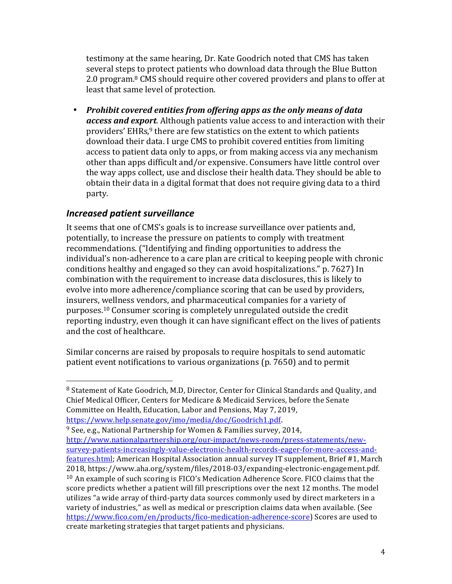testimony at the same hearing, Dr. Kate Goodrich noted that CMS has taken several steps to protect patients who download data through the Blue Button 2.0 program.<sup>8</sup> CMS should require other covered providers and plans to offer at least that same level of protection.

• Prohibit covered entities from offering apps as the only means of data *access and export*. Although patients value access to and interaction with their providers' EHRs,<sup>9</sup> there are few statistics on the extent to which patients download their data. I urge CMS to prohibit covered entities from limiting access to patient data only to apps, or from making access via any mechanism other than apps difficult and/or expensive. Consumers have little control over the way apps collect, use and disclose their health data. They should be able to obtain their data in a digital format that does not require giving data to a third party.

### *Increased patient surveillance*

 

It seems that one of CMS's goals is to increase surveillance over patients and, potentially, to increase the pressure on patients to comply with treatment recommendations. ("Identifying and finding opportunities to address the individual's non-adherence to a care plan are critical to keeping people with chronic conditions healthy and engaged so they can avoid hospitalizations." p. 7627) In combination with the requirement to increase data disclosures, this is likely to evolve into more adherence/compliance scoring that can be used by providers, insurers, wellness vendors, and pharmaceutical companies for a variety of purposes.<sup>10</sup> Consumer scoring is completely unregulated outside the credit reporting industry, even though it can have significant effect on the lives of patients and the cost of healthcare.

Similar concerns are raised by proposals to require hospitals to send automatic patient event notifications to various organizations  $(p. 7650)$  and to permit

 $9$  See, e.g., National Partnership for Women & Families survey, 2014, http://www.nationalpartnership.org/our-impact/news-room/press-statements/newsurvey-patients-increasingly-value-electronic-health-records-eager-for-more-access-andfeatures.html; American Hospital Association annual survey IT supplement, Brief #1, March 2018, https://www.aha.org/system/files/2018-03/expanding-electronic-engagement.pdf.  $10$  An example of such scoring is FICO's Medication Adherence Score. FICO claims that the score predicts whether a patient will fill prescriptions over the next 12 months. The model utilizes "a wide array of third-party data sources commonly used by direct marketers in a variety of industries," as well as medical or prescription claims data when available. (See https://www.fico.com/en/products/fico-medication-adherence-score) Scores are used to create marketing strategies that target patients and physicians.

 $8$  Statement of Kate Goodrich, M.D. Director, Center for Clinical Standards and Quality, and Chief Medical Officer, Centers for Medicare & Medicaid Services, before the Senate Committee on Health, Education, Labor and Pensions, May 7, 2019, https://www.help.senate.gov/imo/media/doc/Goodrich1.pdf.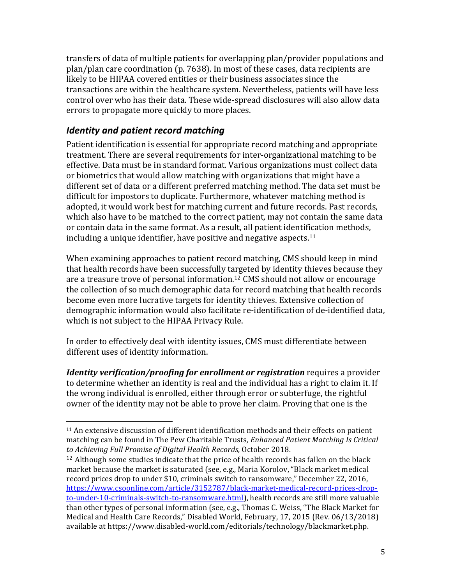transfers of data of multiple patients for overlapping plan/provider populations and plan/plan care coordination  $(p. 7638)$ . In most of these cases, data recipients are likely to be HIPAA covered entities or their business associates since the transactions are within the healthcare system. Nevertheless, patients will have less control over who has their data. These wide-spread disclosures will also allow data errors to propagate more quickly to more places.

# *Identity and patient record matching*

 

Patient identification is essential for appropriate record matching and appropriate treatment. There are several requirements for inter-organizational matching to be effective. Data must be in standard format. Various organizations must collect data or biometrics that would allow matching with organizations that might have a different set of data or a different preferred matching method. The data set must be difficult for impostors to duplicate. Furthermore, whatever matching method is adopted, it would work best for matching current and future records. Past records, which also have to be matched to the correct patient, may not contain the same data or contain data in the same format. As a result, all patient identification methods, including a unique identifier, have positive and negative aspects.<sup>11</sup>

When examining approaches to patient record matching, CMS should keep in mind that health records have been successfully targeted by identity thieves because they are a treasure trove of personal information.<sup>12</sup> CMS should not allow or encourage the collection of so much demographic data for record matching that health records become even more lucrative targets for identity thieves. Extensive collection of demographic information would also facilitate re-identification of de-identified data, which is not subject to the HIPAA Privacy Rule.

In order to effectively deal with identity issues, CMS must differentiate between different uses of identity information.

*Identity verification/proofing for enrollment or registration requires a provider* to determine whether an identity is real and the individual has a right to claim it. If the wrong individual is enrolled, either through error or subterfuge, the rightful owner of the identity may not be able to prove her claim. Proving that one is the

 $11$  An extensive discussion of different identification methods and their effects on patient matching can be found in The Pew Charitable Trusts, *Enhanced Patient Matching Is Critical* to Achieving Full Promise of Digital Health Records, October 2018.

 $12$  Although some studies indicate that the price of health records has fallen on the black market because the market is saturated (see, e.g., Maria Korolov, "Black market medical record prices drop to under \$10, criminals switch to ransomware," December 22, 2016, https://www.csoonline.com/article/3152787/black-market-medical-record-prices-dropto-under-10-criminals-switch-to-ransomware.html), health records are still more valuable than other types of personal information (see, e.g., Thomas C. Weiss, "The Black Market for Medical and Health Care Records," Disabled World, February, 17, 2015 (Rev. 06/13/2018) available at https://www.disabled-world.com/editorials/technology/blackmarket.php.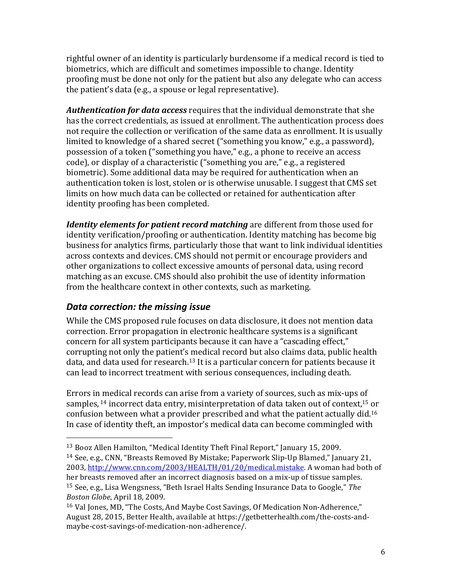rightful owner of an identity is particularly burdensome if a medical record is tied to biometrics, which are difficult and sometimes impossible to change. Identity proofing must be done not only for the patient but also any delegate who can access the patient's data (e.g., a spouse or legal representative).

*Authentication for data access* requires that the individual demonstrate that she has the correct credentials, as issued at enrollment. The authentication process does not require the collection or verification of the same data as enrollment. It is usually limited to knowledge of a shared secret ("something you know," e.g., a password), possession of a token ("something you have," e.g., a phone to receive an access code), or display of a characteristic ("something you are," e.g., a registered biometric). Some additional data may be required for authentication when an authentication token is lost, stolen or is otherwise unusable. I suggest that CMS set limits on how much data can be collected or retained for authentication after identity proofing has been completed.

*Identity elements for patient record matching* are different from those used for identity verification/proofing or authentication. Identity matching has become big business for analytics firms, particularly those that want to link individual identities across contexts and devices. CMS should not permit or encourage providers and other organizations to collect excessive amounts of personal data, using record matching as an excuse. CMS should also prohibit the use of identity information from the healthcare context in other contexts, such as marketing.

# *Data correction: the missing issue*

 

While the CMS proposed rule focuses on data disclosure, it does not mention data correction. Error propagation in electronic healthcare systems is a significant concern for all system participants because it can have a "cascading effect," corrupting not only the patient's medical record but also claims data, public health data, and data used for research.<sup>13</sup> It is a particular concern for patients because it can lead to incorrect treatment with serious consequences, including death.

Errors in medical records can arise from a variety of sources, such as mix-ups of samples,  $^{14}$  incorrect data entry, misinterpretation of data taken out of context,  $^{15}$  or confusion between what a provider prescribed and what the patient actually did.<sup>16</sup> In case of identity theft, an impostor's medical data can become commingled with

 $13$  Booz Allen Hamilton, "Medical Identity Theft Final Report," Ianuary 15, 2009.

<sup>&</sup>lt;sup>14</sup> See, e.g., CNN, "Breasts Removed By Mistake; Paperwork Slip-Up Blamed," January 21, 2003, http://www.cnn.com/2003/HEALTH/01/20/medical.mistake. A woman had both of her breasts removed after an incorrect diagnosis based on a mix-up of tissue samples. <sup>15</sup> See, e.g., Lisa Wengsness, "Beth Israel Halts Sending Insurance Data to Google," *The Boston Globe*, April 18, 2009.

<sup>&</sup>lt;sup>16</sup> Val Jones, MD, "The Costs, And Maybe Cost Savings, Of Medication Non-Adherence," August 28, 2015, Better Health, available at https://getbetterhealth.com/the-costs-andmaybe-cost-savings-of-medication-non-adherence/.